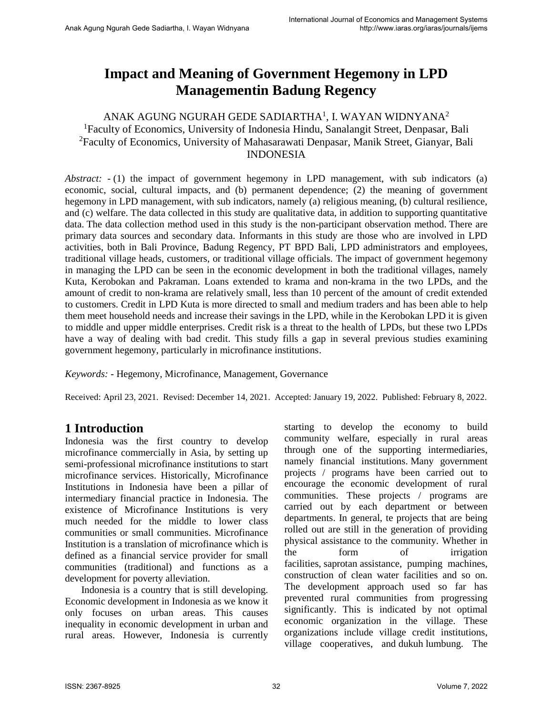# **Impact and Meaning of Government Hegemony in LPD Managementin Badung Regency**

## ANAK AGUNG NGURAH GEDE SADIARTHA $^1$ , I. WAYAN WIDNYANA $^2$ <sup>1</sup>Faculty of Economics, University of Indonesia Hindu, Sanalangit Street, Denpasar, Bali <sup>2</sup>Faculty of Economics, University of Mahasarawati Denpasar, Manik Street, Gianyar, Bali INDONESIA

*Abstract: -* (1) the impact of government hegemony in LPD management, with sub indicators (a) economic, social, cultural impacts, and (b) permanent dependence; (2) the meaning of government hegemony in LPD management, with sub indicators, namely (a) religious meaning, (b) cultural resilience, and (c) welfare. The data collected in this study are qualitative data, in addition to supporting quantitative data. The data collection method used in this study is the non-participant observation method. There are primary data sources and secondary data. Informants in this study are those who are involved in LPD activities, both in Bali Province, Badung Regency, PT BPD Bali, LPD administrators and employees, traditional village heads, customers, or traditional village officials. The impact of government hegemony in managing the LPD can be seen in the economic development in both the traditional villages, namely Kuta, Kerobokan and Pakraman. Loans extended to krama and non-krama in the two LPDs, and the amount of credit to non-krama are relatively small, less than 10 percent of the amount of credit extended to customers. Credit in LPD Kuta is more directed to small and medium traders and has been able to help them meet household needs and increase their savings in the LPD, while in the Kerobokan LPD it is given to middle and upper middle enterprises. Credit risk is a threat to the health of LPDs, but these two LPDs have a way of dealing with bad credit. This study fills a gap in several previous studies examining government hegemony, particularly in microfinance institutions.

*Keywords: -* Hegemony, Microfinance, Management, Governance

Received: April 23, 2021. Revised: December 14, 2021. Accepted: January 19, 2022. Published: February 8, 2022.

# **1 Introduction**

Indonesia was the first country to develop microfinance commercially in Asia, by setting up semi-professional microfinance institutions to start microfinance services. Historically, Microfinance Institutions in Indonesia have been a pillar of intermediary financial practice in Indonesia. The existence of Microfinance Institutions is very much needed for the middle to lower class communities or small communities. Microfinance Institution is a translation of microfinance which is defined as a financial service provider for small communities (traditional) and functions as a development for poverty alleviation.

Indonesia is a country that is still developing. Economic development in Indonesia as we know it only focuses on urban areas. This causes inequality in economic development in urban and rural areas. However, Indonesia is currently starting to develop the economy to build community welfare, especially in rural areas through one of the supporting intermediaries, namely financial institutions. Many government projects / programs have been carried out to encourage the economic development of rural communities. These projects / programs are carried out by each department or between departments. In general, te projects that are being rolled out are still in the generation of providing physical assistance to the community. Whether in the form of irrigation facilities, saprotan assistance, pumping machines, construction of clean water facilities and so on. The development approach used so far has prevented rural communities from progressing significantly. This is indicated by not optimal economic organization in the village. These organizations include village credit institutions, village cooperatives, and dukuh lumbung. The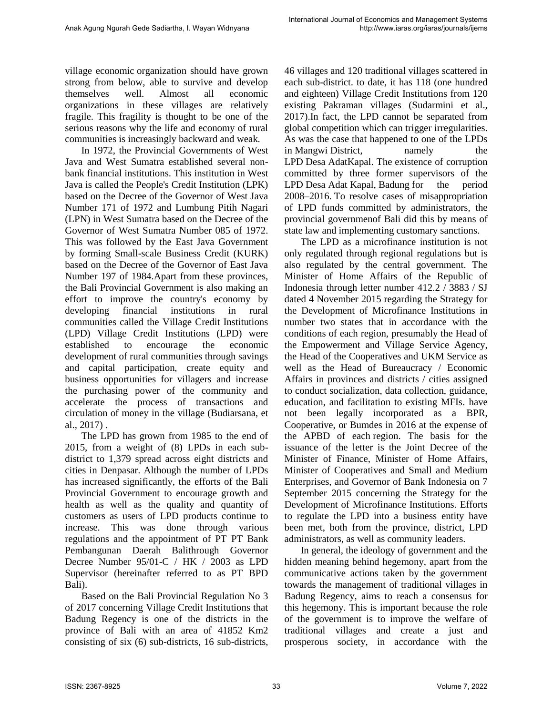village economic organization should have grown strong from below, able to survive and develop themselves well. Almost all economic organizations in these villages are relatively fragile. This fragility is thought to be one of the serious reasons why the life and economy of rural communities is increasingly backward and weak.

In 1972, the Provincial Governments of West Java and West Sumatra established several nonbank financial institutions. This institution in West Java is called the People's Credit Institution (LPK) based on the Decree of the Governor of West Java Number 171 of 1972 and Lumbung Pitih Nagari (LPN) in West Sumatra based on the Decree of the Governor of West Sumatra Number 085 of 1972. This was followed by the East Java Government by forming Small-scale Business Credit (KURK) based on the Decree of the Governor of East Java Number 197 of 1984.Apart from these provinces, the Bali Provincial Government is also making an effort to improve the country's economy by developing financial institutions in rural communities called the Village Credit Institutions (LPD) Village Credit Institutions (LPD) were established to encourage the economic development of rural communities through savings and capital participation, create equity and business opportunities for villagers and increase the purchasing power of the community and accelerate the process of transactions and circulation of money in the village (Budiarsana, et al., 2017) .

The LPD has grown from 1985 to the end of 2015, from a weight of (8) LPDs in each subdistrict to 1,379 spread across eight districts and cities in Denpasar. Although the number of LPDs has increased significantly, the efforts of the Bali Provincial Government to encourage growth and health as well as the quality and quantity of customers as users of LPD products continue to increase. This was done through various regulations and the appointment of PT PT Bank Pembangunan Daerah Balithrough Governor Decree Number 95/01-C / HK / 2003 as LPD Supervisor (hereinafter referred to as PT BPD Bali).

Based on the Bali Provincial Regulation No 3 of 2017 concerning Village Credit Institutions that Badung Regency is one of the districts in the province of Bali with an area of 41852 Km2 consisting of six (6) sub-districts, 16 sub-districts, 46 villages and 120 traditional villages scattered in each sub-district. to date, it has 118 (one hundred and eighteen) Village Credit Institutions from 120 existing Pakraman villages (Sudarmini et al., 2017).In fact, the LPD cannot be separated from global competition which can trigger irregularities. As was the case that happened to one of the LPDs in Mangwi District, has namely the LPD Desa AdatKapal. The existence of corruption committed by three former supervisors of the LPD Desa Adat Kapal, Badung for the period 2008–2016. To resolve cases of misappropriation of LPD funds committed by administrators, the provincial governmenof Bali did this by means of state law and implementing customary sanctions.

The LPD as a microfinance institution is not only regulated through regional regulations but is also regulated by the central government. The Minister of Home Affairs of the Republic of Indonesia through letter number 412.2 / 3883 / SJ dated 4 November 2015 regarding the Strategy for the Development of Microfinance Institutions in number two states that in accordance with the conditions of each region, presumably the Head of the Empowerment and Village Service Agency, the Head of the Cooperatives and UKM Service as well as the Head of Bureaucracy / Economic Affairs in provinces and districts / cities assigned to conduct socialization, data collection, guidance, education, and facilitation to existing MFIs. have not been legally incorporated as a BPR, Cooperative, or Bumdes in 2016 at the expense of the APBD of each region. The basis for the issuance of the letter is the Joint Decree of the Minister of Finance, Minister of Home Affairs, Minister of Cooperatives and Small and Medium Enterprises, and Governor of Bank Indonesia on 7 September 2015 concerning the Strategy for the Development of Microfinance Institutions. Efforts to regulate the LPD into a business entity have been met, both from the province, district, LPD administrators, as well as community leaders.

In general, the ideology of government and the hidden meaning behind hegemony, apart from the communicative actions taken by the government towards the management of traditional villages in Badung Regency, aims to reach a consensus for this hegemony. This is important because the role of the government is to improve the welfare of traditional villages and create a just and prosperous society, in accordance with the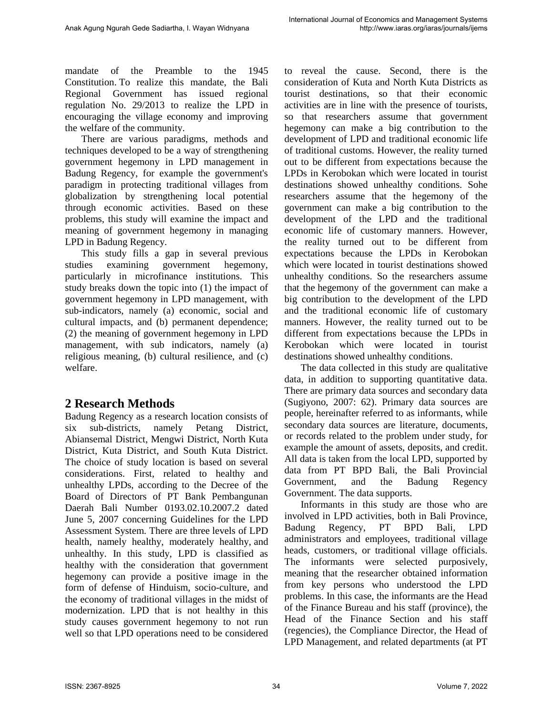mandate of the Preamble to the 1945 Constitution. To realize this mandate, the Bali Regional Government has issued regional regulation No. 29/2013 to realize the LPD in encouraging the village economy and improving the welfare of the community.

There are various paradigms, methods and techniques developed to be a way of strengthening government hegemony in LPD management in Badung Regency, for example the government's paradigm in protecting traditional villages from globalization by strengthening local potential through economic activities. Based on these problems, this study will examine the impact and meaning of government hegemony in managing LPD in Badung Regency.

This study fills a gap in several previous studies examining government hegemony, particularly in microfinance institutions. This study breaks down the topic into (1) the impact of government hegemony in LPD management, with sub-indicators, namely (a) economic, social and cultural impacts, and (b) permanent dependence; (2) the meaning of government hegemony in LPD management, with sub indicators, namely (a) religious meaning, (b) cultural resilience, and (c) welfare.

# **2 Research Methods**

Badung Regency as a research location consists of six sub-districts, namely Petang District, Abiansemal District, Mengwi District, North Kuta District, Kuta District, and South Kuta District. The choice of study location is based on several considerations. First, related to healthy and unhealthy LPDs, according to the Decree of the Board of Directors of PT Bank Pembangunan Daerah Bali Number 0193.02.10.2007.2 dated June 5, 2007 concerning Guidelines for the LPD Assessment System. There are three levels of LPD health, namely healthy, moderately healthy, and unhealthy. In this study, LPD is classified as healthy with the consideration that government hegemony can provide a positive image in the form of defense of Hinduism, socio-culture, and the economy of traditional villages in the midst of modernization. LPD that is not healthy in this study causes government hegemony to not run well so that LPD operations need to be considered to reveal the cause. Second, there is the consideration of Kuta and North Kuta Districts as tourist destinations, so that their economic activities are in line with the presence of tourists, so that researchers assume that government hegemony can make a big contribution to the development of LPD and traditional economic life of traditional customs. However, the reality turned out to be different from expectations because the LPDs in Kerobokan which were located in tourist destinations showed unhealthy conditions. Sohe researchers assume that the hegemony of the government can make a big contribution to the development of the LPD and the traditional economic life of customary manners. However, the reality turned out to be different from expectations because the LPDs in Kerobokan which were located in tourist destinations showed unhealthy conditions. So the researchers assume that the hegemony of the government can make a big contribution to the development of the LPD and the traditional economic life of customary manners. However, the reality turned out to be different from expectations because the LPDs in Kerobokan which were located in tourist destinations showed unhealthy conditions.

The data collected in this study are qualitative data, in addition to supporting quantitative data. There are primary data sources and secondary data (Sugiyono, 2007: 62). Primary data sources are people, hereinafter referred to as informants, while secondary data sources are literature, documents, or records related to the problem under study, for example the amount of assets, deposits, and credit. All data is taken from the local LPD, supported by data from PT BPD Bali, the Bali Provincial Government, and the Badung Regency Government. The data supports.

Informants in this study are those who are involved in LPD activities, both in Bali Province, Badung Regency, PT BPD Bali, LPD administrators and employees, traditional village heads, customers, or traditional village officials. The informants were selected purposively, meaning that the researcher obtained information from key persons who understood the LPD problems. In this case, the informants are the Head of the Finance Bureau and his staff (province), the Head of the Finance Section and his staff (regencies), the Compliance Director, the Head of LPD Management, and related departments (at PT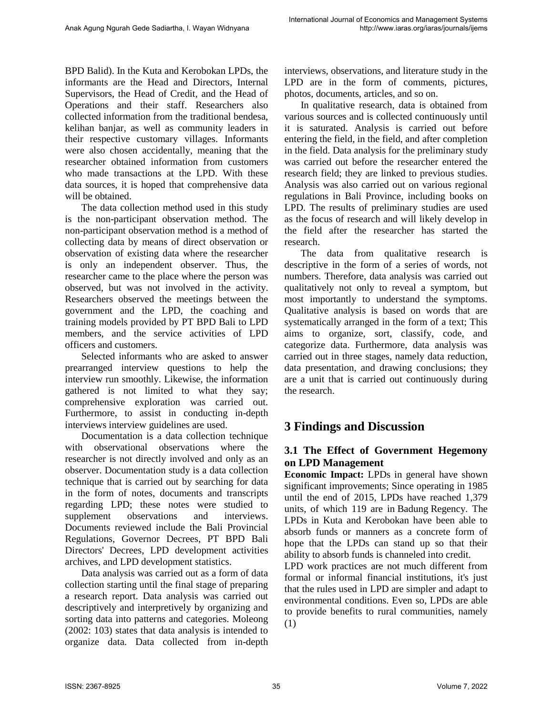BPD Balid). In the Kuta and Kerobokan LPDs, the informants are the Head and Directors, Internal Supervisors, the Head of Credit, and the Head of Operations and their staff. Researchers also collected information from the traditional bendesa, kelihan banjar, as well as community leaders in their respective customary villages. Informants were also chosen accidentally, meaning that the researcher obtained information from customers who made transactions at the LPD. With these data sources, it is hoped that comprehensive data will be obtained.

The data collection method used in this study is the non-participant observation method. The non-participant observation method is a method of collecting data by means of direct observation or observation of existing data where the researcher is only an independent observer. Thus, the researcher came to the place where the person was observed, but was not involved in the activity. Researchers observed the meetings between the government and the LPD, the coaching and training models provided by PT BPD Bali to LPD members, and the service activities of LPD officers and customers.

Selected informants who are asked to answer prearranged interview questions to help the interview run smoothly. Likewise, the information gathered is not limited to what they say; comprehensive exploration was carried out. Furthermore, to assist in conducting in-depth interviews interview guidelines are used.

Documentation is a data collection technique with observational observations where the researcher is not directly involved and only as an observer. Documentation study is a data collection technique that is carried out by searching for data in the form of notes, documents and transcripts regarding LPD; these notes were studied to supplement observations and interviews. Documents reviewed include the Bali Provincial Regulations, Governor Decrees, PT BPD Bali Directors' Decrees, LPD development activities archives, and LPD development statistics.

Data analysis was carried out as a form of data collection starting until the final stage of preparing a research report. Data analysis was carried out descriptively and interpretively by organizing and sorting data into patterns and categories. Moleong (2002: 103) states that data analysis is intended to organize data. Data collected from in-depth interviews, observations, and literature study in the LPD are in the form of comments, pictures, photos, documents, articles, and so on.

In qualitative research, data is obtained from various sources and is collected continuously until it is saturated. Analysis is carried out before entering the field, in the field, and after completion in the field. Data analysis for the preliminary study was carried out before the researcher entered the research field; they are linked to previous studies. Analysis was also carried out on various regional regulations in Bali Province, including books on LPD. The results of preliminary studies are used as the focus of research and will likely develop in the field after the researcher has started the research.

The data from qualitative research is descriptive in the form of a series of words, not numbers. Therefore, data analysis was carried out qualitatively not only to reveal a symptom, but most importantly to understand the symptoms. Qualitative analysis is based on words that are systematically arranged in the form of a text; This aims to organize, sort, classify, code, and categorize data. Furthermore, data analysis was carried out in three stages, namely data reduction, data presentation, and drawing conclusions; they are a unit that is carried out continuously during the research.

# **3 Findings and Discussion**

# **3.1 The Effect of Government Hegemony on LPD Management**

**Economic Impact:** LPDs in general have shown significant improvements; Since operating in 1985 until the end of 2015, LPDs have reached 1,379 units, of which 119 are in Badung Regency. The LPDs in Kuta and Kerobokan have been able to absorb funds or manners as a concrete form of hope that the LPDs can stand up so that their ability to absorb funds is channeled into credit.

LPD work practices are not much different from formal or informal financial institutions, it's just that the rules used in LPD are simpler and adapt to environmental conditions. Even so, LPDs are able to provide benefits to rural communities, namely (1)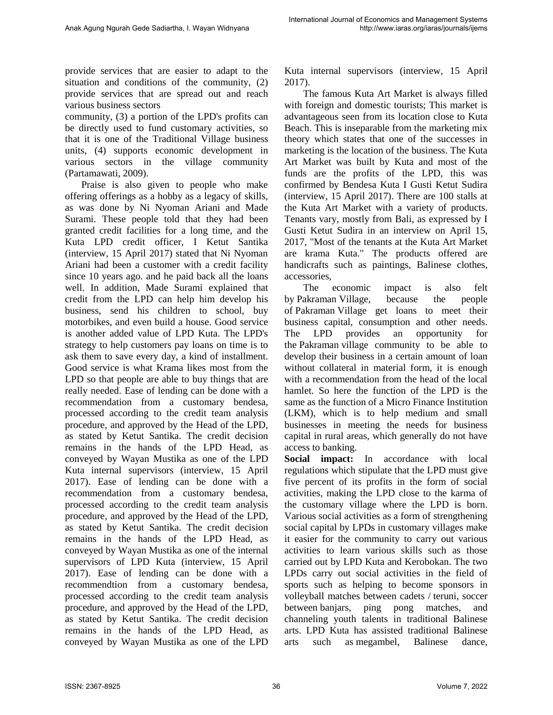provide services that are easier to adapt to the situation and conditions of the community, (2) provide services that are spread out and reach various business sectors

community, (3) a portion of the LPD's profits can be directly used to fund customary activities, so that it is one of the Traditional Village business units, (4) supports economic development in various sectors in the village community (Partamawati, 2009).

Praise is also given to people who make offering offerings as a hobby as a legacy of skills, as was done by Ni Nyoman Ariani and Made Surami. These people told that they had been granted credit facilities for a long time, and the Kuta LPD credit officer, I Ketut Santika (interview, 15 April 2017) stated that Ni Nyoman Ariani had been a customer with a credit facility since 10 years ago. and he paid back all the loans well. In addition, Made Surami explained that credit from the LPD can help him develop his business, send his children to school, buy motorbikes, and even build a house. Good service is another added value of LPD Kuta. The LPD's strategy to help customers pay loans on time is to ask them to save every day, a kind of installment. Good service is what Krama likes most from the LPD so that people are able to buy things that are really needed. Ease of lending can be done with a recommendation from a customary bendesa, processed according to the credit team analysis procedure, and approved by the Head of the LPD, as stated by Ketut Santika. The credit decision remains in the hands of the LPD Head, as conveyed by Wayan Mustika as one of the LPD Kuta internal supervisors (interview, 15 April 2017). Ease of lending can be done with a recommendation from a customary bendesa, processed according to the credit team analysis procedure, and approved by the Head of the LPD, as stated by Ketut Santika. The credit decision remains in the hands of the LPD Head, as conveyed by Wayan Mustika as one of the internal supervisors of LPD Kuta (interview, 15 April 2017). Ease of lending can be done with a recommendtion from a customary bendesa, processed according to the credit team analysis procedure, and approved by the Head of the LPD, as stated by Ketut Santika. The credit decision remains in the hands of the LPD Head, as conveyed by Wayan Mustika as one of the LPD

Kuta internal supervisors (interview, 15 April 2017).

The famous Kuta Art Market is always filled with foreign and domestic tourists; This market is advantageous seen from its location close to Kuta Beach. This is inseparable from the marketing mix theory which states that one of the successes in marketing is the location of the business. The Kuta Art Market was built by Kuta and most of the funds are the profits of the LPD, this was confirmed by Bendesa Kuta I Gusti Ketut Sudira (interview, 15 April 2017). There are 100 stalls at the Kuta Art Market with a variety of products. Tenants vary, mostly from Bali, as expressed by I Gusti Ketut Sudira in an interview on April 15, 2017, "Most of the tenants at the Kuta Art Market are krama Kuta." The products offered are handicrafts such as paintings, Balinese clothes, accessories,

The economic impact is also felt by Pakraman Village, because the people of Pakraman Village get loans to meet their business capital, consumption and other needs. The LPD provides an opportunity for the Pakraman village community to be able to develop their business in a certain amount of loan without collateral in material form, it is enough with a recommendation from the head of the local hamlet. So here the function of the LPD is the same as the function of a Micro Finance Institution (LKM), which is to help medium and small businesses in meeting the needs for business capital in rural areas, which generally do not have access to banking.

**Social impact:** In accordance with local regulations which stipulate that the LPD must give five percent of its profits in the form of social activities, making the LPD close to the karma of the customary village where the LPD is born. Various social activities as a form of strengthening social capital by LPDs in customary villages make it easier for the community to carry out various activities to learn various skills such as those carried out by LPD Kuta and Kerobokan. The two LPDs carry out social activities in the field of sports such as helping to become sponsors in volleyball matches between cadets / teruni, soccer between banjars, ping pong matches, and channeling youth talents in traditional Balinese arts. LPD Kuta has assisted traditional Balinese arts such as megambel, Balinese dance,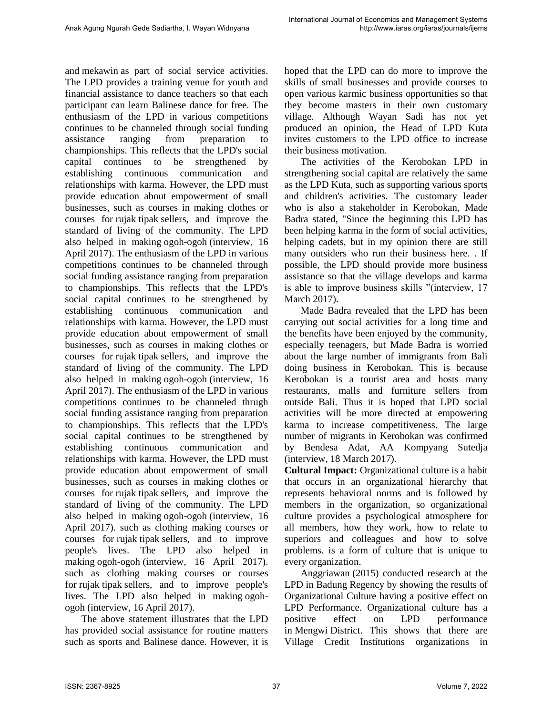and mekawin as part of social service activities. The LPD provides a training venue for youth and financial assistance to dance teachers so that each participant can learn Balinese dance for free. The enthusiasm of the LPD in various competitions continues to be channeled through social funding assistance ranging from preparation to championships. This reflects that the LPD's social capital continues to be strengthened by establishing continuous communication and relationships with karma. However, the LPD must provide education about empowerment of small businesses, such as courses in making clothes or courses for rujak tipak sellers, and improve the standard of living of the community. The LPD also helped in making ogoh-ogoh (interview, 16 April 2017). The enthusiasm of the LPD in various competitions continues to be channeled through social funding assistance ranging from preparation to championships. This reflects that the LPD's social capital continues to be strengthened by establishing continuous communication and relationships with karma. However, the LPD must provide education about empowerment of small businesses, such as courses in making clothes or courses for rujak tipak sellers, and improve the standard of living of the community. The LPD also helped in making ogoh-ogoh (interview, 16 April 2017). The enthusiasm of the LPD in various competitions continues to be channeled thrugh social funding assistance ranging from preparation to championships. This reflects that the LPD's social capital continues to be strengthened by establishing continuous communication and relationships with karma. However, the LPD must provide education about empowerment of small businesses, such as courses in making clothes or courses for rujak tipak sellers, and improve the standard of living of the community. The LPD also helped in making ogoh-ogoh (interview, 16 April 2017). such as clothing making courses or courses for rujak tipak sellers, and to improve people's lives. The LPD also helped in making ogoh-ogoh (interview, 16 April 2017). such as clothing making courses or courses for rujak tipak sellers, and to improve people's lives. The LPD also helped in making ogohogoh (interview, 16 April 2017).

The above statement illustrates that the LPD has provided social assistance for routine matters such as sports and Balinese dance. However, it is hoped that the LPD can do more to improve the skills of small businesses and provide courses to open various karmic business opportunities so that they become masters in their own customary village. Although Wayan Sadi has not yet produced an opinion, the Head of LPD Kuta invites customers to the LPD office to increase their business motivation.

The activities of the Kerobokan LPD in strengthening social capital are relatively the same as the LPD Kuta, such as supporting various sports and children's activities. The customary leader who is also a stakeholder in Kerobokan, Made Badra stated, "Since the beginning this LPD has been helping karma in the form of social activities, helping cadets, but in my opinion there are still many outsiders who run their business here. . If possible, the LPD should provide more business assistance so that the village develops and karma is able to improve business skills "(interview, 17 March 2017).

Made Badra revealed that the LPD has been carrying out social activities for a long time and the benefits have been enjoyed by the community, especially teenagers, but Made Badra is worried about the large number of immigrants from Bali doing business in Kerobokan. This is because Kerobokan is a tourist area and hosts many restaurants, malls and furniture sellers from outside Bali. Thus it is hoped that LPD social activities will be more directed at empowering karma to increase competitiveness. The large number of migrants in Kerobokan was confirmed by Bendesa Adat, AA Kompyang Sutedja (interview, 18 March 2017).

**Cultural Impact:** Organizational culture is a habit that occurs in an organizational hierarchy that represents behavioral norms and is followed by members in the organization, so organizational culture provides a psychological atmosphere for all members, how they work, how to relate to superiors and colleagues and how to solve problems. is a form of culture that is unique to every organization.

Anggriawan (2015) conducted research at the LPD in Badung Regency by showing the results of Organizational Culture having a positive effect on LPD Performance. Organizational culture has a positive effect on LPD performance in Mengwi District. This shows that there are Village Credit Institutions organizations in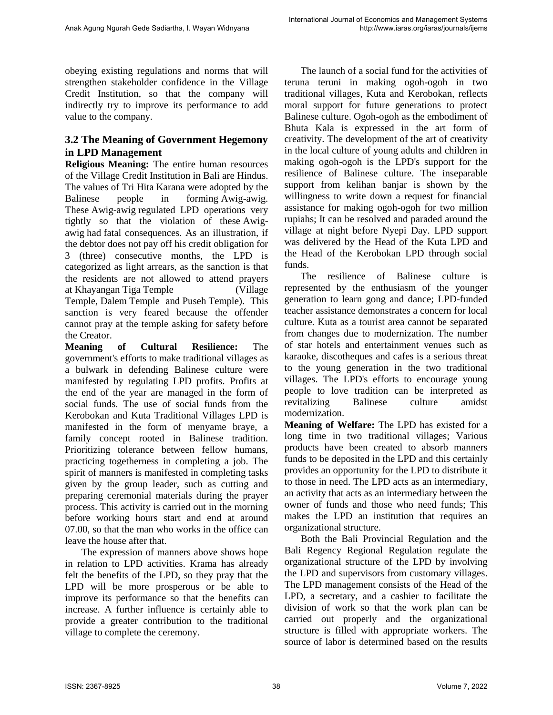obeying existing regulations and norms that will strengthen stakeholder confidence in the Village Credit Institution, so that the company will indirectly try to improve its performance to add value to the company.

#### **3.2 The Meaning of Government Hegemony in LPD Management**

**Religious Meaning:** The entire human resources of the Village Credit Institution in Bali are Hindus. The values of Tri Hita Karana were adopted by the Balinese people in forming Awig-awig. These Awig-awig regulated LPD operations very tightly so that the violation of these Awigawig had fatal consequences. As an illustration, if the debtor does not pay off his credit obligation for 3 (three) consecutive months, the LPD is categorized as light arrears, as the sanction is that the residents are not allowed to attend prayers at Khayangan Tiga Temple (Village Temple, Dalem Temple and Puseh Temple). This sanction is very feared because the offender cannot pray at the temple asking for safety before the Creator.

**Meaning of Cultural Resilience:** The government's efforts to make traditional villages as a bulwark in defending Balinese culture were manifested by regulating LPD profits. Profits at the end of the year are managed in the form of social funds. The use of social funds from the Kerobokan and Kuta Traditional Villages LPD is manifested in the form of menyame braye, a family concept rooted in Balinese tradition. Prioritizing tolerance between fellow humans, practicing togetherness in completing a job. The spirit of manners is manifested in completing tasks given by the group leader, such as cutting and preparing ceremonial materials during the prayer process. This activity is carried out in the morning before working hours start and end at around 07.00, so that the man who works in the office can leave the house after that.

The expression of manners above shows hope in relation to LPD activities. Krama has already felt the benefits of the LPD, so they pray that the LPD will be more prosperous or be able to improve its performance so that the benefits can increase. A further influence is certainly able to provide a greater contribution to the traditional village to complete the ceremony.

The launch of a social fund for the activities of teruna teruni in making ogoh-ogoh in two traditional villages, Kuta and Kerobokan, reflects moral support for future generations to protect Balinese culture. Ogoh-ogoh as the embodiment of Bhuta Kala is expressed in the art form of creativity. The development of the art of creativity in the local culture of young adults and children in making ogoh-ogoh is the LPD's support for the resilience of Balinese culture. The inseparable support from kelihan banjar is shown by the willingness to write down a request for financial assistance for making ogoh-ogoh for two million rupiahs; It can be resolved and paraded around the village at night before Nyepi Day. LPD support was delivered by the Head of the Kuta LPD and the Head of the Kerobokan LPD through social funds.

The resilience of Balinese culture is represented by the enthusiasm of the younger generation to learn gong and dance; LPD-funded teacher assistance demonstrates a concern for local culture. Kuta as a tourist area cannot be separated from changes due to modernization. The number of star hotels and entertainment venues such as karaoke, discotheques and cafes is a serious threat to the young generation in the two traditional villages. The LPD's efforts to encourage young people to love tradition can be interpreted as revitalizing Balinese culture amidst modernization.

**Meaning of Welfare:** The LPD has existed for a long time in two traditional villages; Various products have been created to absorb manners funds to be deposited in the LPD and this certainly provides an opportunity for the LPD to distribute it to those in need. The LPD acts as an intermediary, an activity that acts as an intermediary between the owner of funds and those who need funds; This makes the LPD an institution that requires an organizational structure.

Both the Bali Provincial Regulation and the Bali Regency Regional Regulation regulate the organizational structure of the LPD by involving the LPD and supervisors from customary villages. The LPD management consists of the Head of the LPD, a secretary, and a cashier to facilitate the division of work so that the work plan can be carried out properly and the organizational structure is filled with appropriate workers. The source of labor is determined based on the results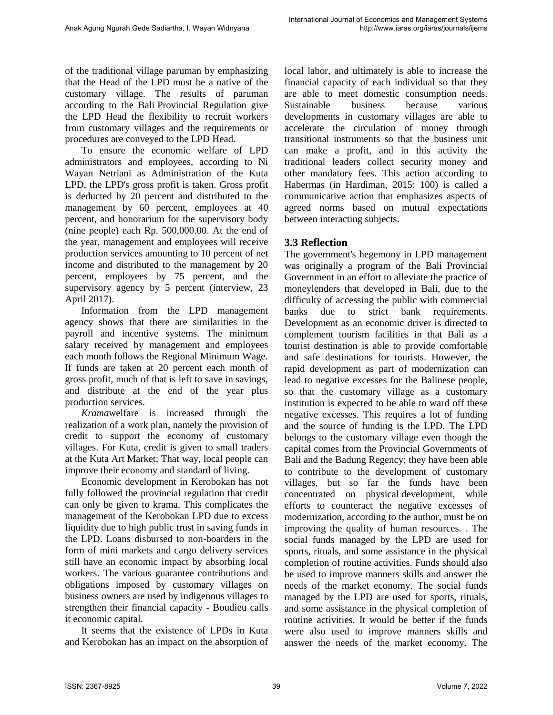of the traditional village paruman by emphasizing that the Head of the LPD must be a native of the customary village. The results of paruman according to the Bali Provincial Regulation give the LPD Head the flexibility to recruit workers from customary villages and the requirements or procedures are conveyed to the LPD Head.

To ensure the economic welfare of LPD administrators and employees, according to Ni Wayan Netriani as Administration of the Kuta LPD, the LPD's gross profit is taken. Gross profit is deducted by 20 percent and distributed to the management by 60 percent, employees at 40 percent, and honorarium for the supervisory body (nine people) each Rp. 500,000.00. At the end of the year, management and employees will receive production services amounting to 10 percent of net income and distributed to the management by 20 percent, employees by 75 percent, and the supervisory agency by 5 percent (interview, 23 April 2017).

Information from the LPD management agency shows that there are similarities in the payroll and incentive systems. The minimum salary received by management and employees each month follows the Regional Minimum Wage. If funds are taken at 20 percent each month of gross profit, much of that is left to save in savings, and distribute at the end of the year plus production services.

*Krama*welfare is increased through the realization of a work plan, namely the provision of credit to support the economy of customary villages. For Kuta, credit is given to small traders at the Kuta Art Market; That way, local people can improve their economy and standard of living.

Economic development in Kerobokan has not fully followed the provincial regulation that credit can only be given to krama. This complicates the management of the Kerobokan LPD due to excess liquidity due to high public trust in saving funds in the LPD. Loans disbursed to non-boarders in the form of mini markets and cargo delivery services still have an economic impact by absorbing local workers. The various guarantee contributions and obligations imposed by customary villages on business owners are used by indigenous villages to strengthen their financial capacity - Boudieu calls it economic capital.

It seems that the existence of LPDs in Kuta and Kerobokan has an impact on the absorption of local labor, and ultimately is able to increase the financial capacity of each individual so that they are able to meet domestic consumption needs. Sustainable business because various developments in customary villages are able to accelerate the circulation of money through transitional instruments so that the business unit can make a profit, and in this activity the traditional leaders collect security money and other mandatory fees. This action according to Habermas (in Hardiman, 2015: 100) is called a communicative action that emphasizes aspects of agreed norms based on mutual expectations between interacting subjects.

## **3.3 Reflection**

The government's hegemony in LPD management was originally a program of the Bali Provincial Government in an effort to alleviate the practice of moneylenders that developed in Bali, due to the difficulty of accessing the public with commercial banks due to strict bank requirements. Development as an economic driver is directed to complement tourism facilities in that Bali as a tourist destination is able to provide comfortable and safe destinations for tourists. However, the rapid development as part of modernization can lead to negative excesses for the Balinese people, so that the customary village as a customary institution is expected to be able to ward off these negative excesses. This requires a lot of funding and the source of funding is the LPD. The LPD belongs to the customary village even though the capital comes from the Provincial Governments of Bali and the Badung Regency; they have been able to contribute to the development of customary villages, but so far the funds have been concentrated on physical development, while efforts to counteract the negative excesses of modernization, according to the author, must be on improving the quality of human resources. . The social funds managed by the LPD are used for sports, rituals, and some assistance in the physical completion of routine activities. Funds should also be used to improve manners skills and answer the needs of the market economy. The social funds managed by the LPD are used for sports, rituals, and some assistance in the physical completion of routine activities. It would be better if the funds were also used to improve manners skills and answer the needs of the market economy. The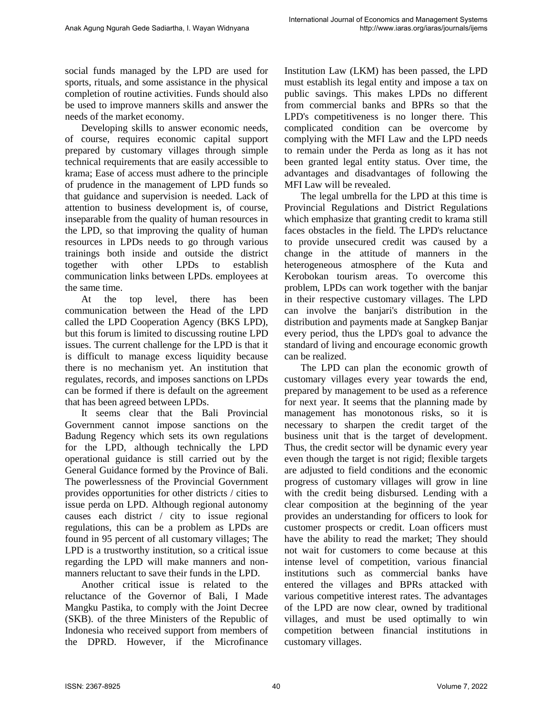social funds managed by the LPD are used for sports, rituals, and some assistance in the physical completion of routine activities. Funds should also be used to improve manners skills and answer the needs of the market economy.

Developing skills to answer economic needs, of course, requires economic capital support prepared by customary villages through simple technical requirements that are easily accessible to krama; Ease of access must adhere to the principle of prudence in the management of LPD funds so that guidance and supervision is needed. Lack of attention to business development is, of course, inseparable from the quality of human resources in the LPD, so that improving the quality of human resources in LPDs needs to go through various trainings both inside and outside the district together with other LPDs to establish communication links between LPDs. employees at the same time.

At the top level, there has been communication between the Head of the LPD called the LPD Cooperation Agency (BKS LPD), but this forum is limited to discussing routine LPD issues. The current challenge for the LPD is that it is difficult to manage excess liquidity because there is no mechanism yet. An institution that regulates, records, and imposes sanctions on LPDs can be formed if there is default on the agreement that has been agreed between LPDs.

It seems clear that the Bali Provincial Government cannot impose sanctions on the Badung Regency which sets its own regulations for the LPD, although technically the LPD operational guidance is still carried out by the General Guidance formed by the Province of Bali. The powerlessness of the Provincial Government provides opportunities for other districts / cities to issue perda on LPD. Although regional autonomy causes each district / city to issue regional regulations, this can be a problem as LPDs are found in 95 percent of all customary villages; The LPD is a trustworthy institution, so a critical issue regarding the LPD will make manners and nonmanners reluctant to save their funds in the LPD.

Another critical issue is related to the reluctance of the Governor of Bali, I Made Mangku Pastika, to comply with the Joint Decree (SKB). of the three Ministers of the Republic of Indonesia who received support from members of the DPRD. However, if the Microfinance Institution Law (LKM) has been passed, the LPD must establish its legal entity and impose a tax on public savings. This makes LPDs no different from commercial banks and BPRs so that the LPD's competitiveness is no longer there. This complicated condition can be overcome by complying with the MFI Law and the LPD needs to remain under the Perda as long as it has not been granted legal entity status. Over time, the advantages and disadvantages of following the MFI Law will be revealed.

The legal umbrella for the LPD at this time is Provincial Regulations and District Regulations which emphasize that granting credit to krama still faces obstacles in the field. The LPD's reluctance to provide unsecured credit was caused by a change in the attitude of manners in the heterogeneous atmosphere of the Kuta and Kerobokan tourism areas. To overcome this problem, LPDs can work together with the banjar in their respective customary villages. The LPD can involve the banjari's distribution in the distribution and payments made at Sangkep Banjar every period, thus the LPD's goal to advance the standard of living and encourage economic growth can be realized.

The LPD can plan the economic growth of customary villages every year towards the end, prepared by management to be used as a reference for next year. It seems that the planning made by management has monotonous risks, so it is necessary to sharpen the credit target of the business unit that is the target of development. Thus, the credit sector will be dynamic every year even though the target is not rigid; flexible targets are adjusted to field conditions and the economic progress of customary villages will grow in line with the credit being disbursed. Lending with a clear composition at the beginning of the year provides an understanding for officers to look for customer prospects or credit. Loan officers must have the ability to read the market; They should not wait for customers to come because at this intense level of competition, various financial institutions such as commercial banks have entered the villages and BPRs attacked with various competitive interest rates. The advantages of the LPD are now clear, owned by traditional villages, and must be used optimally to win competition between financial institutions in customary villages.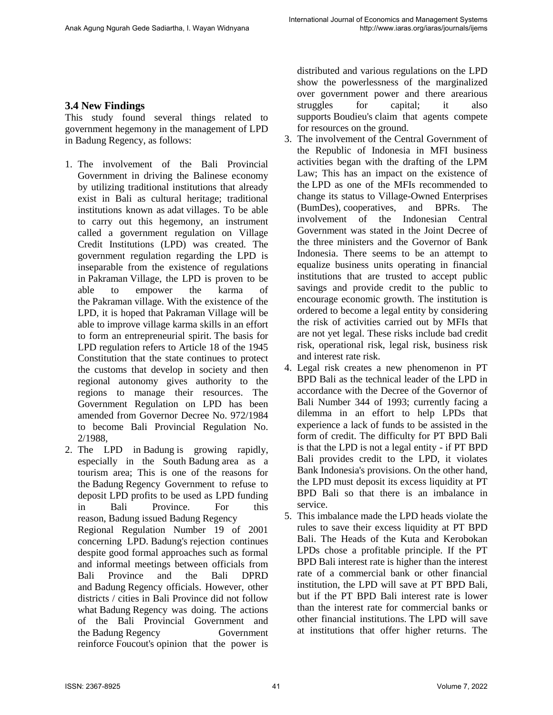## **3.4 New Findings**

This study found several things related to government hegemony in the management of LPD in Badung Regency, as follows:

- 1. The involvement of the Bali Provincial Government in driving the Balinese economy by utilizing traditional institutions that already exist in Bali as cultural heritage; traditional institutions known as adat villages. To be able to carry out this hegemony, an instrument called a government regulation on Village Credit Institutions (LPD) was created. The government regulation regarding the LPD is inseparable from the existence of regulations in Pakraman Village, the LPD is proven to be able to empower the karma of the Pakraman village. With the existence of the LPD, it is hoped that Pakraman Village will be able to improve village karma skills in an effort to form an entrepreneurial spirit. The basis for LPD regulation refers to Article 18 of the 1945 Constitution that the state continues to protect the customs that develop in society and then regional autonomy gives authority to the regions to manage their resources. The Government Regulation on LPD has been amended from Governor Decree No. 972/1984 to become Bali Provincial Regulation No. 2/1988,
- 2. The LPD in Badung is growing rapidly, especially in the South Badung area as a tourism area; This is one of the reasons for the Badung Regency Government to refuse to deposit LPD profits to be used as LPD funding in Bali Province. For this reason, Badung issued Badung Regency Regional Regulation Number 19 of 2001 concerning LPD. Badung's rejection continues despite good formal approaches such as formal and informal meetings between officials from Bali Province and the Bali DPRD and Badung Regency officials. However, other districts / cities in Bali Province did not follow what Badung Regency was doing. The actions of the Bali Provincial Government and the Badung Regency Government reinforce Foucout's opinion that the power is

distributed and various regulations on the LPD show the powerlessness of the marginalized over government power and there arearious struggles for capital; it also supports Boudieu's claim that agents compete for resources on the ground.

- 3. The involvement of the Central Government of the Republic of Indonesia in MFI business activities began with the drafting of the LPM Law; This has an impact on the existence of the LPD as one of the MFIs recommended to change its status to Village-Owned Enterprises (BumDes), cooperatives, and BPRs. The involvement of the Indonesian Central Government was stated in the Joint Decree of the three ministers and the Governor of Bank Indonesia. There seems to be an attempt to equalize business units operating in financial institutions that are trusted to accept public savings and provide credit to the public to encourage economic growth. The institution is ordered to become a legal entity by considering the risk of activities carried out by MFIs that are not yet legal. These risks include bad credit risk, operational risk, legal risk, business risk and interest rate risk.
- 4. Legal risk creates a new phenomenon in PT BPD Bali as the technical leader of the LPD in accordance with the Decree of the Governor of Bali Number 344 of 1993; currently facing a dilemma in an effort to help LPDs that experience a lack of funds to be assisted in the form of credit. The difficulty for PT BPD Bali is that the LPD is not a legal entity - if PT BPD Bali provides credit to the LPD, it violates Bank Indonesia's provisions. On the other hand, the LPD must deposit its excess liquidity at PT BPD Bali so that there is an imbalance in service.
- 5. This imbalance made the LPD heads violate the rules to save their excess liquidity at PT BPD Bali. The Heads of the Kuta and Kerobokan LPDs chose a profitable principle. If the PT BPD Bali interest rate is higher than the interest rate of a commercial bank or other financial institution, the LPD will save at PT BPD Bali, but if the PT BPD Bali interest rate is lower than the interest rate for commercial banks or other financial institutions. The LPD will save at institutions that offer higher returns. The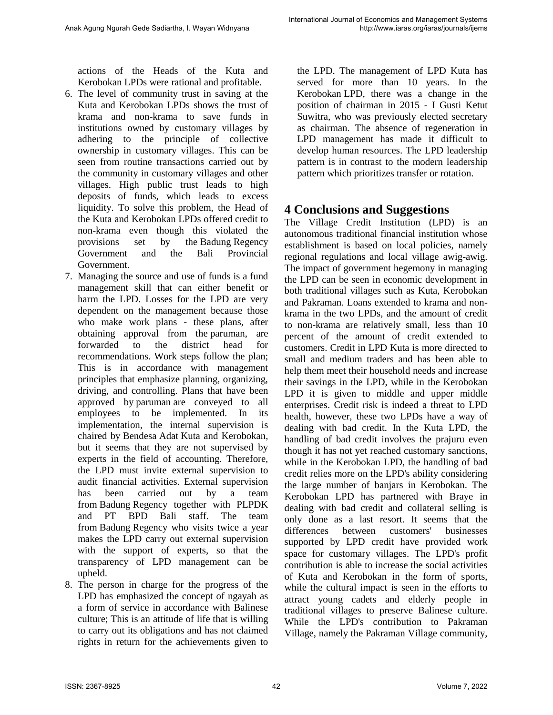actions of the Heads of the Kuta and Kerobokan LPDs were rational and profitable.

- 6. The level of community trust in saving at the Kuta and Kerobokan LPDs shows the trust of krama and non-krama to save funds in institutions owned by customary villages by adhering to the principle of collective ownership in customary villages. This can be seen from routine transactions carried out by the community in customary villages and other villages. High public trust leads to high deposits of funds, which leads to excess liquidity. To solve this problem, the Head of the Kuta and Kerobokan LPDs offered credit to non-krama even though this violated the provisions set by the Badung Regency Government and the Bali Provincial Government.
- 7. Managing the source and use of funds is a fund management skill that can either benefit or harm the LPD. Losses for the LPD are very dependent on the management because those who make work plans - these plans, after obtaining approval from the paruman, are forwarded to the district head for recommendations. Work steps follow the plan; This is in accordance with management principles that emphasize planning, organizing, driving, and controlling. Plans that have been approved by paruman are conveyed to all employees to be implemented. In its implementation, the internal supervision is chaired by Bendesa Adat Kuta and Kerobokan, but it seems that they are not supervised by experts in the field of accounting. Therefore, the LPD must invite external supervision to audit financial activities. External supervision has been carried out by a team from Badung Regency together with PLPDK and PT BPD Bali staff. The team from Badung Regency who visits twice a year makes the LPD carry out external supervision with the support of experts, so that the transparency of LPD management can be upheld.
- 8. The person in charge for the progress of the LPD has emphasized the concept of ngayah as a form of service in accordance with Balinese culture; This is an attitude of life that is willing to carry out its obligations and has not claimed rights in return for the achievements given to

the LPD. The management of LPD Kuta has served for more than 10 years. In the Kerobokan LPD, there was a change in the position of chairman in 2015 - I Gusti Ketut Suwitra, who was previously elected secretary as chairman. The absence of regeneration in LPD management has made it difficult to develop human resources. The LPD leadership pattern is in contrast to the modern leadership pattern which prioritizes transfer or rotation.

# **4 Conclusions and Suggestions**

The Village Credit Institution (LPD) is an autonomous traditional financial institution whose establishment is based on local policies, namely regional regulations and local village awig-awig. The impact of government hegemony in managing the LPD can be seen in economic development in both traditional villages such as Kuta, Kerobokan and Pakraman. Loans extended to krama and nonkrama in the two LPDs, and the amount of credit to non-krama are relatively small, less than 10 percent of the amount of credit extended to customers. Credit in LPD Kuta is more directed to small and medium traders and has been able to help them meet their household needs and increase their savings in the LPD, while in the Kerobokan LPD it is given to middle and upper middle enterprises. Credit risk is indeed a threat to LPD health, however, these two LPDs have a way of dealing with bad credit. In the Kuta LPD, the handling of bad credit involves the prajuru even though it has not yet reached customary sanctions, while in the Kerobokan LPD, the handling of bad credit relies more on the LPD's ability considering the large number of banjars in Kerobokan. The Kerobokan LPD has partnered with Braye in dealing with bad credit and collateral selling is only done as a last resort. It seems that the differences between customers' businesses supported by LPD credit have provided work space for customary villages. The LPD's profit contribution is able to increase the social activities of Kuta and Kerobokan in the form of sports, while the cultural impact is seen in the efforts to attract young cadets and elderly people in traditional villages to preserve Balinese culture. While the LPD's contribution to Pakraman Village, namely the Pakraman Village community,